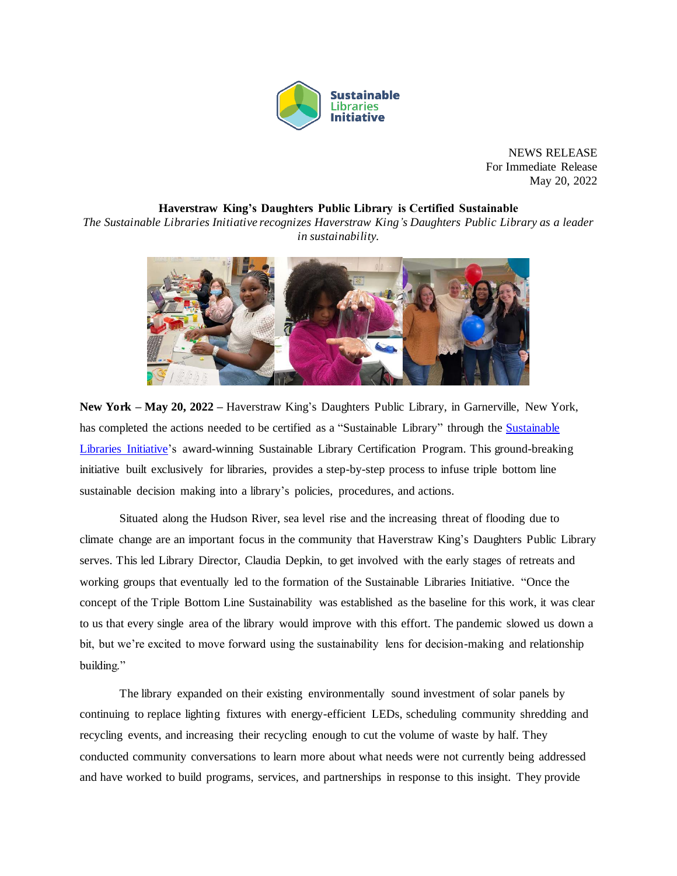

NEWS RELEASE For Immediate Release May 20, 2022

## **Haverstraw King's Daughters Public Library is Certified Sustainable**

*The Sustainable Libraries Initiative recognizes Haverstraw King's Daughters Public Library as a leader in sustainability.*



**New York – May 20, 2022 –** Haverstraw King's Daughters Public Library, in Garnerville, New York, has completed the actions needed to be certified as a "Sustainable Library" through the [Sustainable](https://sustainablelibrariesinitiative.org/)  [Libraries Initiative's](https://sustainablelibrariesinitiative.org/) award-winning Sustainable Library Certification Program. This ground-breaking initiative built exclusively for libraries, provides a step-by-step process to infuse triple bottom line sustainable decision making into a library's policies, procedures, and actions.

Situated along the Hudson River, sea level rise and the increasing threat of flooding due to climate change are an important focus in the community that Haverstraw King's Daughters Public Library serves. This led Library Director, Claudia Depkin, to get involved with the early stages of retreats and working groups that eventually led to the formation of the Sustainable Libraries Initiative. "Once the concept of the Triple Bottom Line Sustainability was established as the baseline for this work, it was clear to us that every single area of the library would improve with this effort. The pandemic slowed us down a bit, but we're excited to move forward using the sustainability lens for decision-making and relationship building."

The library expanded on their existing environmentally sound investment of solar panels by continuing to replace lighting fixtures with energy-efficient LEDs, scheduling community shredding and recycling events, and increasing their recycling enough to cut the volume of waste by half. They conducted community conversations to learn more about what needs were not currently being addressed and have worked to build programs, services, and partnerships in response to this insight. They provide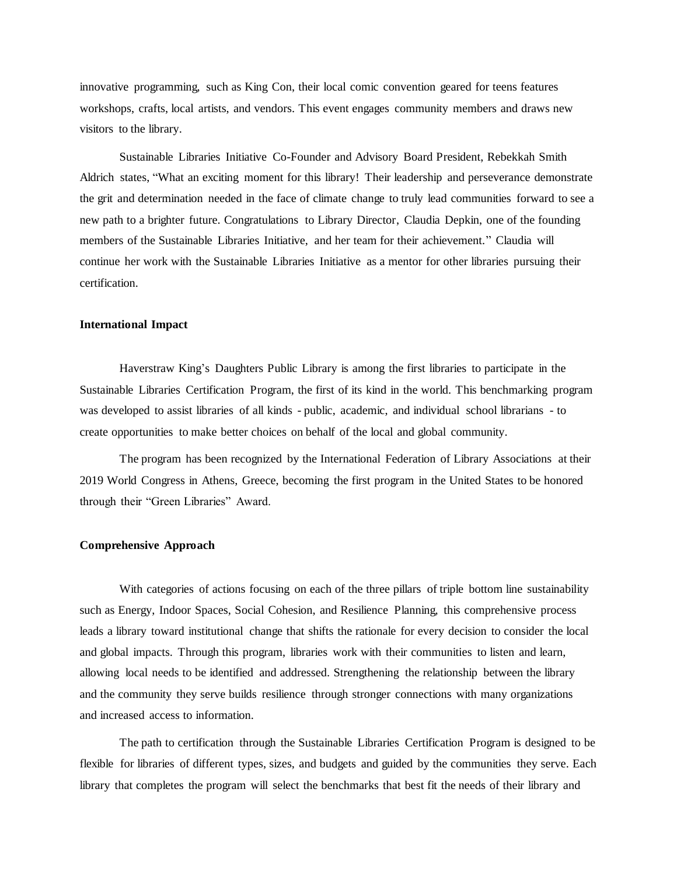innovative programming, such as King Con, their local comic convention geared for teens features workshops, crafts, local artists, and vendors. This event engages community members and draws new visitors to the library.

Sustainable Libraries Initiative Co-Founder and Advisory Board President, Rebekkah Smith Aldrich states, "What an exciting moment for this library! Their leadership and perseverance demonstrate the grit and determination needed in the face of climate change to truly lead communities forward to see a new path to a brighter future. Congratulations to Library Director, Claudia Depkin, one of the founding members of the Sustainable Libraries Initiative, and her team for their achievement." Claudia will continue her work with the Sustainable Libraries Initiative as a mentor for other libraries pursuing their certification.

## **International Impact**

Haverstraw King's Daughters Public Library is among the first libraries to participate in the Sustainable Libraries Certification Program, the first of its kind in the world. This benchmarking program was developed to assist libraries of all kinds - public, academic, and individual school librarians - to create opportunities to make better choices on behalf of the local and global community.

The program has been recognized by the International Federation of Library Associations at their 2019 World Congress in Athens, Greece, becoming the first program in the United States to be honored through their "Green Libraries" Award.

## **Comprehensive Approach**

With categories of actions focusing on each of the three pillars of triple bottom line sustainability such as Energy, Indoor Spaces, Social Cohesion, and Resilience Planning, this comprehensive process leads a library toward institutional change that shifts the rationale for every decision to consider the local and global impacts. Through this program, libraries work with their communities to listen and learn, allowing local needs to be identified and addressed. Strengthening the relationship between the library and the community they serve builds resilience through stronger connections with many organizations and increased access to information.

The path to certification through the Sustainable Libraries Certification Program is designed to be flexible for libraries of different types, sizes, and budgets and guided by the communities they serve. Each library that completes the program will select the benchmarks that best fit the needs of their library and